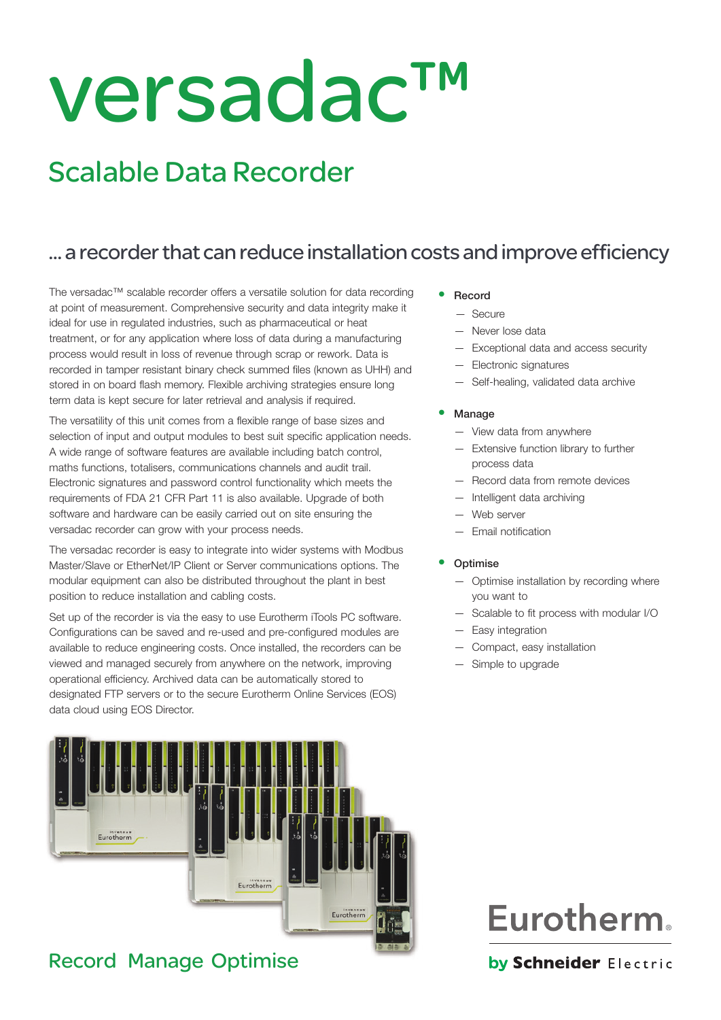# versadac™

# Scalable Data Recorder

# ... a recorder that can reduce installation costs and improve efficiency

The versadac™ scalable recorder offers a versatile solution for data recording at point of measurement. Comprehensive security and data integrity make it ideal for use in regulated industries, such as pharmaceutical or heat treatment, or for any application where loss of data during a manufacturing process would result in loss of revenue through scrap or rework. Data is recorded in tamper resistant binary check summed files (known as UHH) and stored in on board flash memory. Flexible archiving strategies ensure long term data is kept secure for later retrieval and analysis if required.

The versatility of this unit comes from a flexible range of base sizes and selection of input and output modules to best suit specific application needs. A wide range of software features are available including batch control, maths functions, totalisers, communications channels and audit trail. Electronic signatures and password control functionality which meets the requirements of FDA 21 CFR Part 11 is also available. Upgrade of both software and hardware can be easily carried out on site ensuring the versadac recorder can grow with your process needs.

The versadac recorder is easy to integrate into wider systems with Modbus Master/Slave or EtherNet/IP Client or Server communications options. The modular equipment can also be distributed throughout the plant in best position to reduce installation and cabling costs.

Set up of the recorder is via the easy to use Eurotherm iTools PC software. Configurations can be saved and re-used and pre-configured modules are available to reduce engineering costs. Once installed, the recorders can be viewed and managed securely from anywhere on the network, improving operational efficiency. Archived data can be automatically stored to designated FTP servers or to the secure Eurotherm Online Services (EOS) data cloud using EOS Director.



# Record Manage Optimise

- **Record** 
	- Secure
	- Never lose data
	- Exceptional data and access security
	- Electronic signatures
	- Self-healing, validated data archive
- **Manage** 
	- View data from anywhere
	- Extensive function library to further process data
	- Record data from remote devices
	- Intelligent data archiving
	- Web server
	- Email notification

#### **Optimise**

- Optimise installation by recording where you want to
- Scalable to fit process with modular I/O
- Easy integration
- Compact, easy installation
- Simple to upgrade

# **Eurotherm.**

# by Schneider Electric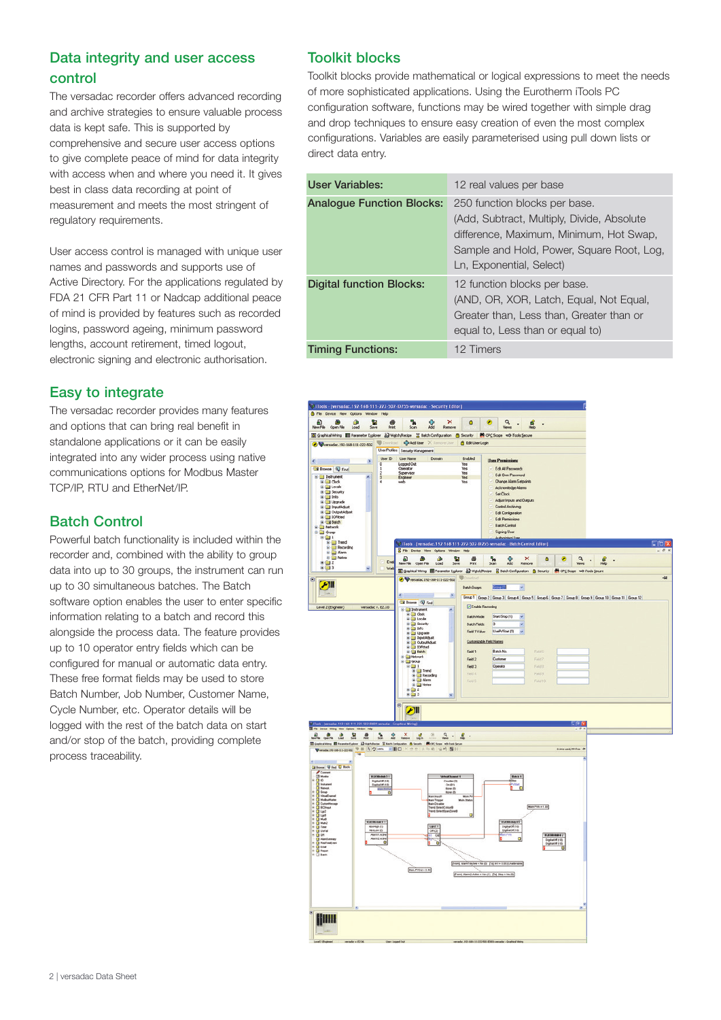# Data integrity and user access control

The versadac recorder offers advanced recording and archive strategies to ensure valuable process data is kept safe. This is supported by comprehensive and secure user access options to give complete peace of mind for data integrity with access when and where you need it. It gives best in class data recording at point of measurement and meets the most stringent of regulatory requirements.

User access control is managed with unique user names and passwords and supports use of Active Directory. For the applications regulated by FDA 21 CFR Part 11 or Nadcap additional peace of mind is provided by features such as recorded logins, password ageing, minimum password lengths, account retirement, timed logout, electronic signing and electronic authorisation.

# Easy to integrate

The versadac recorder provides many features and options that can bring real benefit in standalone applications or it can be easily integrated into any wider process using native communications options for Modbus Master TCP/IP, RTU and EtherNet/IP.

# Batch Control

Powerful batch functionality is included within the recorder and, combined with the ability to group data into up to 30 groups, the instrument can run up to 30 simultaneous batches. The Batch software option enables the user to enter specific information relating to a batch and record this alongside the process data. The feature provides up to 10 operator entry fields which can be configured for manual or automatic data entry. These free format fields may be used to store Batch Number, Job Number, Customer Name, Cycle Number, etc. Operator details will be logged with the rest of the batch data on start and/or stop of the batch, providing complete process traceability.

# Toolkit blocks

Toolkit blocks provide mathematical or logical expressions to meet the needs of more sophisticated applications. Using the Eurotherm iTools PC configuration software, functions may be wired together with simple drag and drop techniques to ensure easy creation of even the most complex configurations. Variables are easily parameterised using pull down lists or direct data entry.

| User Variables:                  | 12 real values per base                                                                                                                                                                         |
|----------------------------------|-------------------------------------------------------------------------------------------------------------------------------------------------------------------------------------------------|
| <b>Analogue Function Blocks:</b> | 250 function blocks per base.<br>(Add, Subtract, Multiply, Divide, Absolute<br>difference, Maximum, Minimum, Hot Swap,<br>Sample and Hold, Power, Square Root, Log,<br>Ln, Exponential, Select) |
| <b>Digital function Blocks:</b>  | 12 function blocks per base.<br>(AND, OR, XOR, Latch, Equal, Not Equal,<br>Greater than. Less than. Greater than or<br>equal to, Less than or equal to)                                         |
| <b>Timing Functions:</b>         | 12 Timers                                                                                                                                                                                       |

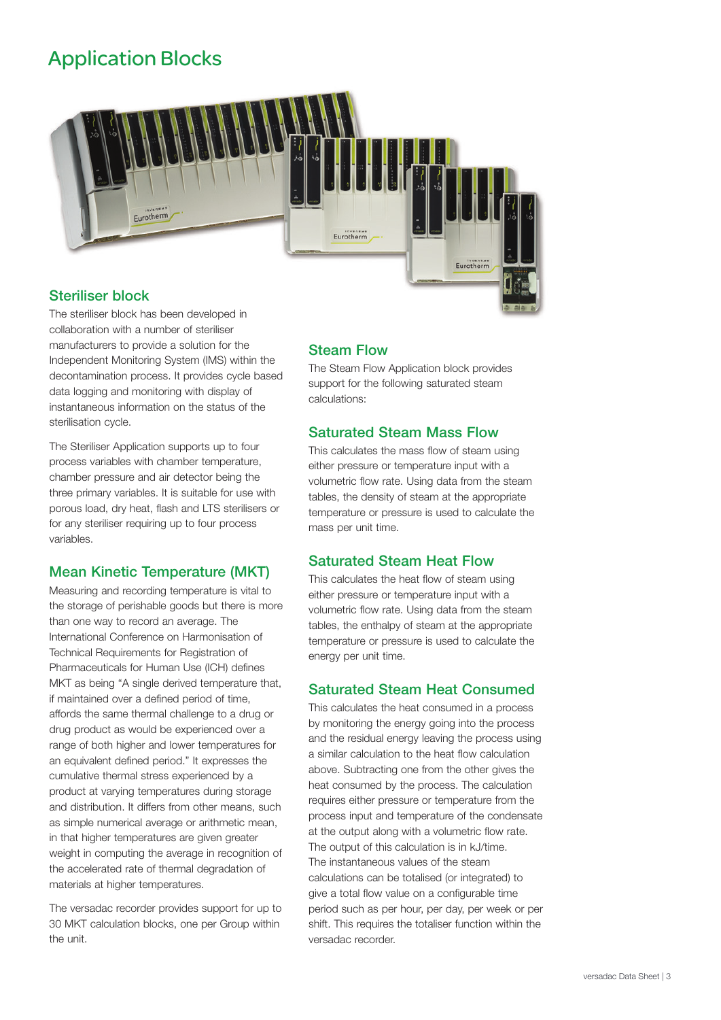# Application Blocks



# Steriliser block

The steriliser block has been developed in collaboration with a number of steriliser manufacturers to provide a solution for the Independent Monitoring System (IMS) within the decontamination process. It provides cycle based data logging and monitoring with display of instantaneous information on the status of the sterilisation cycle.

The Steriliser Application supports up to four process variables with chamber temperature, chamber pressure and air detector being the three primary variables. It is suitable for use with porous load, dry heat, flash and LTS sterilisers or for any steriliser requiring up to four process variables.

# Mean Kinetic Temperature (MKT)

Measuring and recording temperature is vital to the storage of perishable goods but there is more than one way to record an average. The International Conference on Harmonisation of Technical Requirements for Registration of Pharmaceuticals for Human Use (ICH) defines MKT as being "A single derived temperature that, if maintained over a defined period of time, affords the same thermal challenge to a drug or drug product as would be experienced over a range of both higher and lower temperatures for an equivalent defined period." It expresses the cumulative thermal stress experienced by a product at varying temperatures during storage and distribution. It differs from other means, such as simple numerical average or arithmetic mean, in that higher temperatures are given greater weight in computing the average in recognition of the accelerated rate of thermal degradation of materials at higher temperatures.

The versadac recorder provides support for up to 30 MKT calculation blocks, one per Group within the unit.

# Steam Flow

The Steam Flow Application block provides support for the following saturated steam calculations:

# Saturated Steam Mass Flow

This calculates the mass flow of steam using either pressure or temperature input with a volumetric flow rate. Using data from the steam tables, the density of steam at the appropriate temperature or pressure is used to calculate the mass per unit time.

# Saturated Steam Heat Flow

This calculates the heat flow of steam using either pressure or temperature input with a volumetric flow rate. Using data from the steam tables, the enthalpy of steam at the appropriate temperature or pressure is used to calculate the energy per unit time.

# Saturated Steam Heat Consumed

This calculates the heat consumed in a process by monitoring the energy going into the process and the residual energy leaving the process using a similar calculation to the heat flow calculation above. Subtracting one from the other gives the heat consumed by the process. The calculation requires either pressure or temperature from the process input and temperature of the condensate at the output along with a volumetric flow rate. The output of this calculation is in kJ/time. The instantaneous values of the steam calculations can be totalised (or integrated) to give a total flow value on a configurable time period such as per hour, per day, per week or per shift. This requires the totaliser function within the versadac recorder.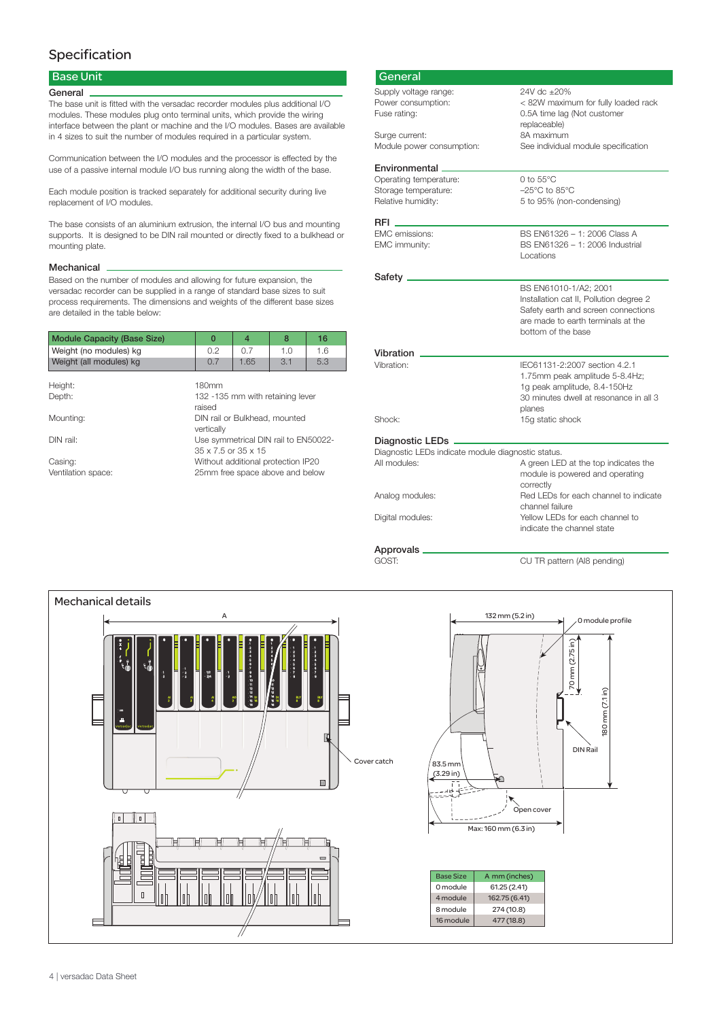# Specification

## Base Unit

#### **General**

The base unit is fitted with the versadac recorder modules plus additional I/O modules. These modules plug onto terminal units, which provide the wiring interface between the plant or machine and the I/O modules. Bases are available in 4 sizes to suit the number of modules required in a particular system.

Communication between the I/O modules and the processor is effected by the use of a passive internal module I/O bus running along the width of the base.

Each module position is tracked separately for additional security during live replacement of I/O modules.

The base consists of an aluminium extrusion, the internal I/O bus and mounting supports. It is designed to be DIN rail mounted or directly fixed to a bulkhead or mounting plate.

#### Mechanical

Based on the number of modules and allowing for future expansion, the versadac recorder can be supplied in a range of standard base sizes to suit process requirements. The dimensions and weights of the different base sizes are detailed in the table below:

| <b>Module Capacity (Base Size)</b> |  | $\mathbf 0$                                                               | $\overline{4}$ | 8                                | 16  |
|------------------------------------|--|---------------------------------------------------------------------------|----------------|----------------------------------|-----|
| Weight (no modules) kg             |  | 0.2                                                                       | 0.7            | 1.0                              | 1.6 |
| Weight (all modules) kg            |  | 0.7                                                                       | 1.65           | 3.1                              | 5.3 |
| Height:                            |  | 180mm                                                                     |                |                                  |     |
| Depth:                             |  | raised                                                                    |                | 132 -135 mm with retaining lever |     |
| Mounting:                          |  | vertically                                                                |                | DIN rail or Bulkhead, mounted    |     |
| DIN rail:                          |  | Use symmetrical DIN rail to EN50022-<br>$35 \times 7.5$ or $35 \times 15$ |                |                                  |     |
| Casing:                            |  | Without additional protection IP20                                        |                |                                  |     |
| Ventilation space:                 |  |                                                                           |                | 25mm free space above and below  |     |

| General                                            |                                         |
|----------------------------------------------------|-----------------------------------------|
| Supply voltage range:                              | 24V dc ±20%                             |
| Power consumption:                                 | < 82W maximum for fully loaded rack     |
| Fuse rating:                                       | 0.5A time lag (Not customer             |
|                                                    | replaceable)                            |
| Surge current:                                     | 8A maximum                              |
| Module power consumption:                          | See individual module specification     |
| Environmental                                      |                                         |
| Operating temperature:                             | $0$ to $55^{\circ}$ C                   |
| Storage temperature:                               | $-25^{\circ}$ C to 85 $^{\circ}$ C      |
| Relative humidity:                                 | 5 to 95% (non-condensing)               |
|                                                    |                                         |
| <b>EMC</b> emissions:                              | BS EN61326 - 1: 2006 Class A            |
| EMC immunity:                                      | BS EN61326 - 1: 2006 Industrial         |
|                                                    | Locations                               |
|                                                    |                                         |
| Safety.                                            |                                         |
|                                                    | BS EN61010-1/A2; 2001                   |
|                                                    | Installation cat II, Pollution degree 2 |
|                                                    | Safety earth and screen connections     |
|                                                    | are made to earth terminals at the      |
|                                                    | bottom of the base                      |
| Vibration                                          |                                         |
| Vibration:                                         | IEC61131-2:2007 section 4.2.1           |
|                                                    | 1.75mm peak amplitude 5-8.4Hz;          |
|                                                    | 1g peak amplitude, 8.4-150Hz            |
|                                                    | 30 minutes dwell at resonance in all 3  |
|                                                    | planes                                  |
| Shock:                                             | 15g static shock                        |
| Diagnostic LEDs.                                   |                                         |
| Diagnostic LEDs indicate module diagnostic status. |                                         |
| All modules:                                       | A green LED at the top indicates the    |
|                                                    | module is powered and operating         |
|                                                    | correctly                               |
| Analog modules:                                    | Red LEDs for each channel to indicate   |
|                                                    | channel failure                         |
| Digital modules:                                   | Yellow LEDs for each channel to         |
|                                                    | indicate the channel state              |

# Approvals<br>GOST:

CU TR pattern (AI8 pending)

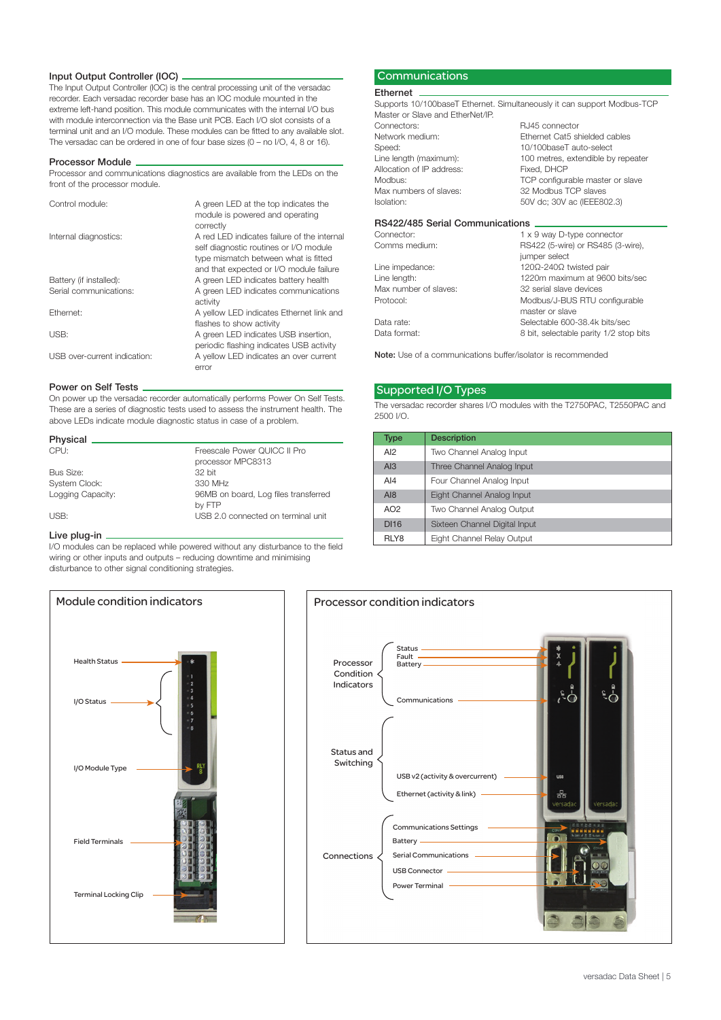#### Input Output Controller (IOC)

The Input Output Controller (IOC) is the central processing unit of the versadac recorder. Each versadac recorder base has an IOC module mounted in the extreme left-hand position. This module communicates with the internal I/O bus with module interconnection via the Base unit PCB. Each I/O slot consists of a terminal unit and an I/O module. These modules can be fitted to any available slot. The versadac can be ordered in one of four base sizes (0 – no I/O, 4, 8 or 16).

#### Processor Module

Processor and communications diagnostics are available from the LEDs on the front of the processor module.

| Control module:              | A green LED at the top indicates the<br>module is powered and operating<br>correctly                                                                                     |
|------------------------------|--------------------------------------------------------------------------------------------------------------------------------------------------------------------------|
| Internal diagnostics:        | A red LED indicates failure of the internal<br>self diagnostic routines or I/O module<br>type mismatch between what is fitted<br>and that expected or I/O module failure |
| Battery (if installed):      | A green LED indicates battery health                                                                                                                                     |
| Serial communications:       | A green LED indicates communications<br>activity                                                                                                                         |
| Ethernet:                    | A yellow LED indicates Ethernet link and<br>flashes to show activity                                                                                                     |
| USB:                         | A green LED indicates USB insertion,<br>periodic flashing indicates USB activity                                                                                         |
| USB over-current indication: | A yellow LED indicates an over current<br>error                                                                                                                          |

#### Power on Self Tests

On power up the versadac recorder automatically performs Power On Self Tests. These are a series of diagnostic tests used to assess the instrument health. The above LEDs indicate module diagnostic status in case of a problem.

| Physical _           |                                      |
|----------------------|--------------------------------------|
| CPU:                 | Freescale Power OUICC II Pro         |
|                      | processor MPC8313                    |
| Bus Size:            | 32 hit                               |
| <b>System Clock:</b> | 330 MHz                              |
| Logging Capacity:    | 96MB on board, Log files transferred |
|                      | by FTP                               |
| USB:                 | USB 2.0 connected on terminal unit   |

#### Live plug-in.

I/O modules can be replaced while powered without any disturbance to the field wiring or other inputs and outputs – reducing downtime and minimising disturbance to other signal conditioning strategies.



#### **Communications**

#### Ethernet

Supports 10/100baseT Ethernet. Simultaneously it can support Modbus-TCP Master or Slave and EtherNet/IP.<br>Connectors: RJ45 connector

|                           | $1.117 - 1.711111.1.11111$         |
|---------------------------|------------------------------------|
| Network medium:           | Ethernet Cat5 shielded cables      |
| Speed:                    | 10/100baseT auto-select            |
| Line length (maximum):    | 100 metres, extendible by repeater |
| Allocation of IP address: | Fixed, DHCP                        |
| Modbus:                   | TCP configurable master or slave   |
| Max numbers of slaves:    | 32 Modbus TCP slaves               |
| Isolation:                | 50V dc; 30V ac (IEEE802.3)         |
|                           |                                    |

#### RS422/485 Serial Communications

| Connector:            | 1 x 9 way D-type connector             |
|-----------------------|----------------------------------------|
| Comms medium:         | RS422 (5-wire) or RS485 (3-wire),      |
|                       | jumper select                          |
| Line impedance:       | 120Ω-240Ω twisted pair                 |
| Line length:          | 1220m maximum at 9600 bits/sec         |
| Max number of slaves: | 32 serial slave devices                |
| Protocol:             | Modbus/J-BUS RTU configurable          |
|                       | master or slave                        |
| Data rate:            | Selectable 600-38.4k bits/sec          |
| Data format:          | 8 bit, selectable parity 1/2 stop bits |
|                       |                                        |

Note: Use of a communications buffer/isolator is recommended

#### Supported I/O Types

The versadac recorder shares I/O modules with the T2750PAC, T2550PAC and 2500 I/O.

| Type        | <b>Description</b>            |
|-------------|-------------------------------|
| AI2         | Two Channel Analog Input      |
| A13         | Three Channel Analog Input    |
| AI4         | Four Channel Analog Input     |
| A18         | Eight Channel Analog Input    |
| AO2         | Two Channel Analog Output     |
| <b>DI16</b> | Sixteen Channel Digital Input |
| RLY8        | Eight Channel Relay Output    |

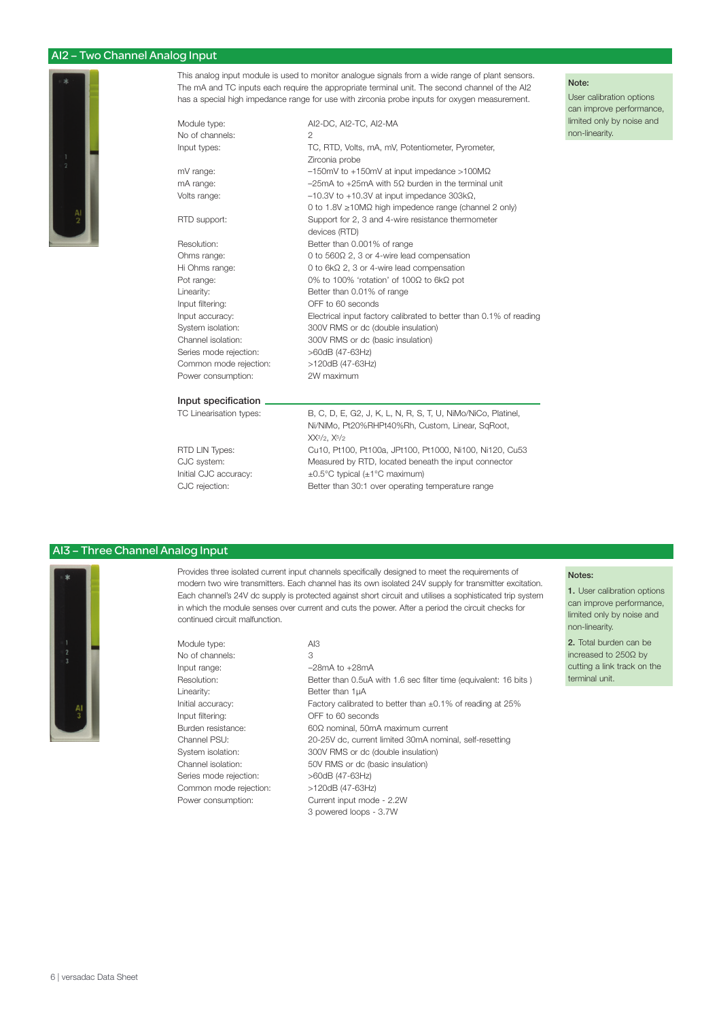#### AI2 – Two Channel Analog Input



This analog input module is used to monitor analogue signals from a wide range of plant sensors. The mA and TC inputs each require the appropriate terminal unit. The second channel of the AI2 has a special high impedance range for use with zirconia probe inputs for oxygen measurement.

Module type:  $A12-DC$ , AI2-TC, AI2-MA No of channels:

Common mode rejection:

Input types: TC, RTD, Volts, mA, mV, Potentiometer, Pyrometer, Zirconia probe mV range: –150mV to +150mV at input impedance >100MΩ mA range: –25mA to +25mA with 5Ω burden in the terminal unit Volts range: –10.3V to +10.3V at input impedance 303kΩ, 0 to 1.8V ≥10MΩ high impedence range (channel 2 only) RTD support: Support for 2, 3 and 4-wire resistance thermometer devices (RTD) Resolution: Better than 0.001% of range Ohms range: 0 to 560Ω 2, 3 or 4-wire lead compensation Hi Ohms range: 0 to 6kΩ 2, 3 or 4-wire lead compensation Pot range: 0% to 100% 'rotation' of 100Ω to 6kΩ pot Linearity: Better than 0.01% of range Input filtering: OFF to 60 seconds Input accuracy: Electrical input factory calibrated to better than 0.1% of reading System isolation: 300V RMS or dc (double insulation) Channel isolation: 300V RMS or dc (basic insulation) Series mode rejection:  $>60dB$  (47-63Hz)<br>Common mode rejection:  $>120dB$  (47-63Hz) Power consumption: 2W maximum

#### Note:

User calibration options can improve performance, limited only by noise and non-linearity.

#### Input specification.

TC Linearisation types: B, C, D, E, G2, J, K, L, N, R, S, T, U, NiMo/NiCo, Platinel, Ni/NiMo, Pt20%RHPt40%Rh, Custom, Linear, SqRoot, XX<sup>3</sup>/2, X<sup>5</sup>/2<br>RTD LIN Types: Cu10, Pt1 Cu10, Pt100, Pt100a, JPt100, Pt1000, Ni100, Ni120, Cu53 CJC system: Measured by RTD, located beneath the input connector<br>Initial CJC accuracy:  $\pm 0.5^{\circ}$ C typical ( $\pm 1^{\circ}$ C maximum)  $\pm 0.5^{\circ}$ C typical ( $\pm 1^{\circ}$ C maximum) CJC rejection: Better than 30:1 over operating temperature range

#### AI3 – Three Channel Analog Input



Provides three isolated current input channels specifically designed to meet the requirements of modern two wire transmitters. Each channel has its own isolated 24V supply for transmitter excitation. Each channel's 24V dc supply is protected against short circuit and utilises a sophisticated trip system in which the module senses over current and cuts the power. After a period the circuit checks for continued circuit malfunction.

Module type: AI3 No of channels: 3 Input range: –28mA to +28mA Linearity: Better than 1µA Series mode rejection: >60dB (47-63Hz)

Resolution: Better than 0.5uA with 1.6 sec filter time (equivalent: 16 bits ) Initial accuracy: Factory calibrated to better than  $\pm 0.1\%$  of reading at 25% Input filtering: OFF to 60 seconds Burden resistance: 60Ω nominal, 50mA maximum current Channel PSU: 20-25V dc, current limited 30mA nominal, self-resetting System isolation: 300V RMS or dc (double insulation) Channel isolation: 50V RMS or dc (basic insulation) Common mode rejection: >120dB (47-63Hz) Power consumption: Current input mode - 2.2W 3 powered loops - 3.7W

#### Notes:

1. User calibration options can improve performance, limited only by noise and non-linearity.

2. Total burden can be increased to 250Ω by cutting a link track on the terminal unit.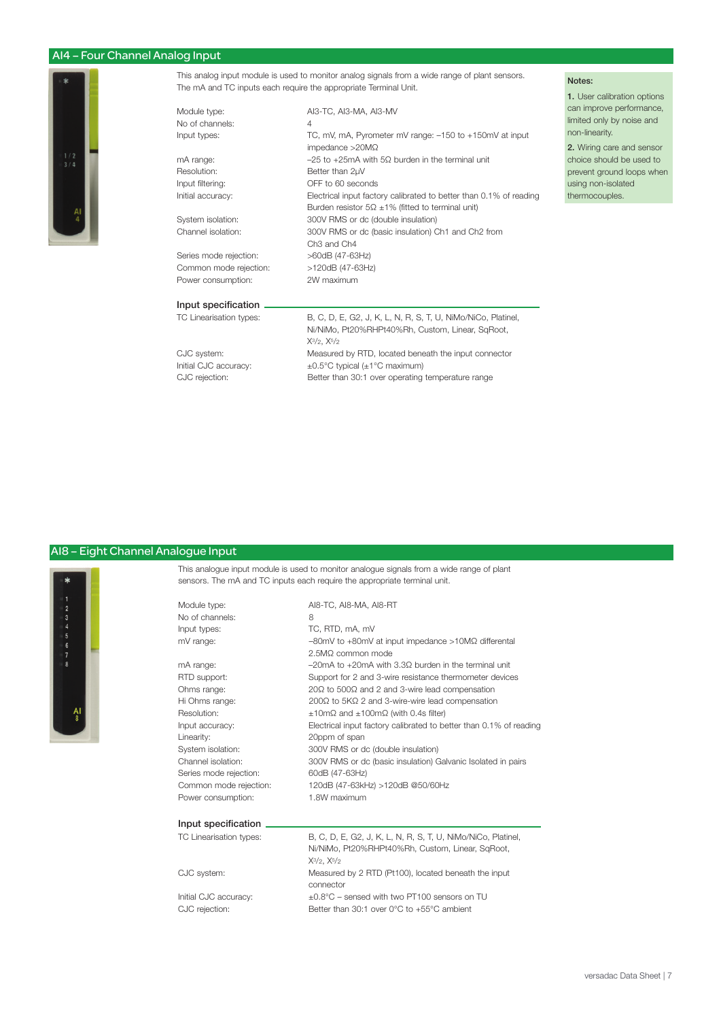## AI4 – Four Channel Analog Input



This analog input module is used to monitor analog signals from a wide range of plant sensors. The mA and TC inputs each require the appropriate Terminal Unit.

| Module type:            | AI3-TC, AI3-MA, AI3-MV                                                                                                                    |  |  |
|-------------------------|-------------------------------------------------------------------------------------------------------------------------------------------|--|--|
| No of channels:         | $\overline{4}$                                                                                                                            |  |  |
| Input types:            | TC, mV, mA, Pyrometer mV range: -150 to +150mV at input<br>impedance $>20M\Omega$                                                         |  |  |
| mA range:               | $-25$ to +25mA with 5 $\Omega$ burden in the terminal unit                                                                                |  |  |
| Resolution:             | Better than 2µV                                                                                                                           |  |  |
| Input filtering:        | OFF to 60 seconds                                                                                                                         |  |  |
| Initial accuracy:       | Electrical input factory calibrated to better than 0.1% of reading<br>Burden resistor $5\Omega \pm 1\%$ (fitted to terminal unit)         |  |  |
| System isolation:       | 300V RMS or dc (double insulation)                                                                                                        |  |  |
| Channel isolation:      | 300V RMS or dc (basic insulation) Ch1 and Ch2 from<br>Ch <sub>3</sub> and Ch <sub>4</sub>                                                 |  |  |
| Series mode rejection:  | >60dB (47-63Hz)                                                                                                                           |  |  |
| Common mode rejection:  | >120dB (47-63Hz)                                                                                                                          |  |  |
| Power consumption:      | 2W maximum                                                                                                                                |  |  |
| Input specification     |                                                                                                                                           |  |  |
| TC Linearisation types: | B, C, D, E, G2, J, K, L, N, R, S, T, U, NiMo/NiCo, Platinel,<br>Ni/NiMo, Pt20%RHPt40%Rh, Custom, Linear, SqRoot,<br>$X^{3/2}$ , $X^{5/2}$ |  |  |

CJC system: Measured by RTD, located beneath the input connector Initial CJC accuracy:  $\pm 0.5^{\circ}$ C typical ( $\pm 1^{\circ}$ C maximum)<br>CJC rejection: Better than 30:1 over operating Better than 30:1 over operating temperature range

#### AI8 – Eight Channel Analogue Input



This analogue input module is used to monitor analogue signals from a wide range of plant sensors. The mA and TC inputs each require the appropriate terminal unit.

| Module type:           | AI8-TC, AI8-MA, AI8-RT                                                  |
|------------------------|-------------------------------------------------------------------------|
| No of channels:        | 8                                                                       |
| Input types:           | TC, RTD, mA, mV                                                         |
| mV range:              | $-80$ mV to $+80$ mV at input impedance $>10$ M $\Omega$ differental    |
|                        | 2.5MΩ common mode                                                       |
| mA range:              | $-20$ mA to $+20$ mA with 3.3 $\Omega$ burden in the terminal unit      |
| RTD support:           | Support for 2 and 3-wire resistance thermometer devices                 |
| Ohms range:            | $20\Omega$ to 500Ω and 2 and 3-wire lead compensation                   |
| Hi Ohms range:         | 200Ω to 5KΩ 2 and 3-wire-wire lead compensation                         |
| Resolution:            | $\pm 10 \text{m}\Omega$ and $\pm 100 \text{m}\Omega$ (with 0.4s filter) |
| Input accuracy:        | Electrical input factory calibrated to better than 0.1% of reading      |
| Linearity:             | 20ppm of span                                                           |
| System isolation:      | 300V RMS or dc (double insulation)                                      |
| Channel isolation:     | 300V RMS or dc (basic insulation) Galvanic Isolated in pairs            |
| Series mode rejection: | 60dB (47-63Hz)                                                          |
| Common mode rejection: | 120dB (47-63kHz) >120dB @50/60Hz                                        |
| Power consumption:     | 1.8W maximum                                                            |
|                        |                                                                         |

#### Input specification

Module type: No of channels: Input types: mV range:

TC Linearisation types: B, C, D, E, G2, J, K, L, N, R, S, T, U, NiMo/NiCo, Platinel, Ni/NiMo, Pt20%RHPt40%Rh, Custom, Linear, SqRoot, X3/2, X5/2 CJC system: Measured by 2 RTD (Pt100), located beneath the input connector Initial CJC accuracy:  $\pm 0.8^{\circ}$ C – sensed with two PT100 sensors on TU<br>CJC rejection: Better than 30:1 over 0°C to +55°C ambient Better than 30:1 over 0°C to +55°C ambient

#### Notes:

1. User calibration options can improve performance, limited only by noise and non-linearity.

2. Wiring care and sensor choice should be used to prevent ground loops when using non-isolated thermocouples.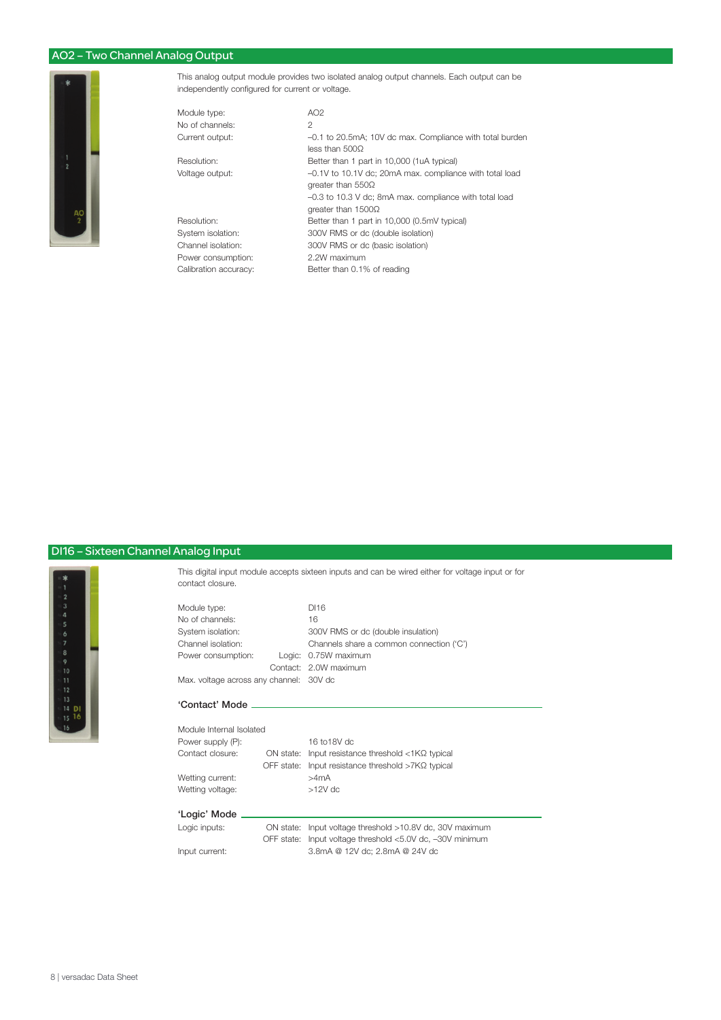## AO2 – Two Channel Analog Output

Module



This analog output module provides two isolated analog output channels. Each output can be independently configured for current or voltage.

| AO2                                                      |
|----------------------------------------------------------|
| $\overline{c}$                                           |
| -0.1 to 20.5mA; 10V dc max. Compliance with total burden |
| less than 500Q                                           |
| Better than 1 part in 10,000 (1uA typical)               |
| -0.1V to 10.1V dc; 20mA max. compliance with total load  |
| greater than $550\Omega$                                 |
| -0.3 to 10.3 V dc; 8mA max. compliance with total load   |
| greater than $1500\Omega$                                |
| Better than 1 part in 10,000 (0.5mV typical)             |
| 300V RMS or dc (double isolation)                        |
| 300V RMS or dc (basic isolation)                         |
| 2.2W maximum                                             |
| Better than 0.1% of reading                              |
|                                                          |

# DI16 – Sixteen Channel Analog Input



This digital input module accepts sixteen inputs and can be wired either for voltage input or for contact closure.

| Module type:                            |  | DI16                                     |
|-----------------------------------------|--|------------------------------------------|
| No of channels:                         |  | 16                                       |
| System isolation:                       |  | 300V RMS or dc (double insulation)       |
| Channel isolation:                      |  | Channels share a common connection ('C') |
| Power consumption:                      |  | Logic: 0.75W maximum                     |
|                                         |  | Contact: 2.0W maximum                    |
| Max. voltage across any channel: 30V dc |  |                                          |

#### 'Contact' Mode

| Module Internal Isolated |                                                            |
|--------------------------|------------------------------------------------------------|
| Power supply (P):        | 16 to 18V dc                                               |
| Contact closure:         | ON state: Input resistance threshold $\langle$ 1ΚΩ typical |
|                          | OFF state: Input resistance threshold $>7K\Omega$ typical  |
| Wetting current:         | >4mA                                                       |
| Wetting voltage:         | $>12V$ dc                                                  |
|                          |                                                            |
| 'Logic' Mode             |                                                            |
| Logic inputs:            | ON state: Input voltage threshold >10.8V dc, 30V maximum   |
|                          | OFF state: Input voltage threshold <5.0V dc, -30V minimum  |
|                          |                                                            |

Input current: 3.8mA @ 12V dc; 2.8mA @ 24V dc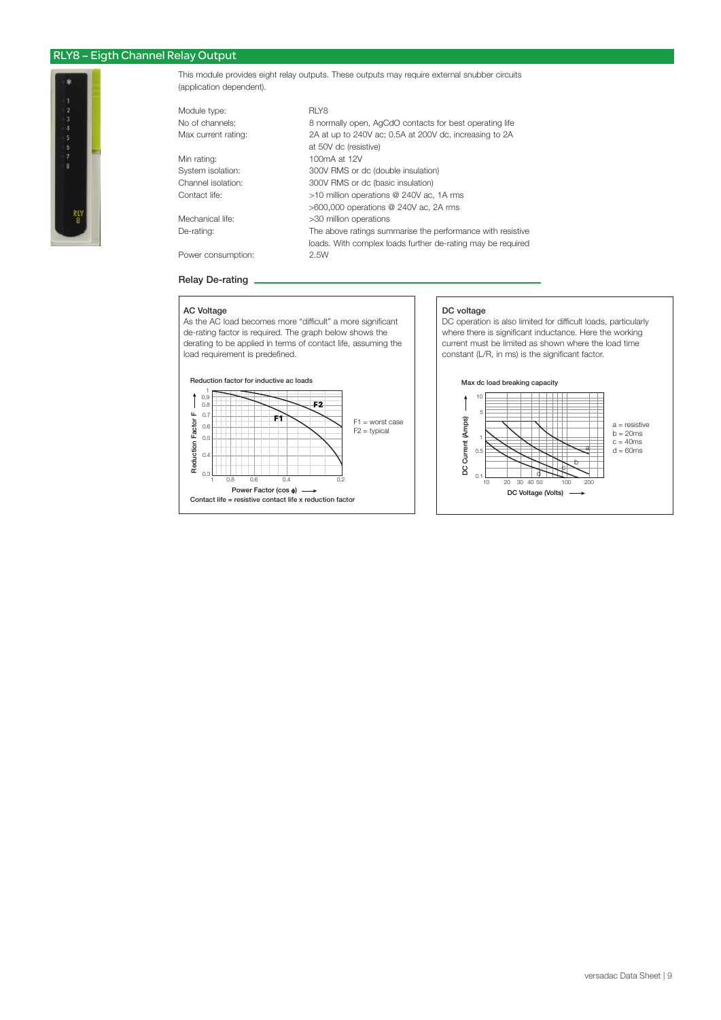## RLY8 – Eigth Channel Relay Output



This module provides eight relay outputs. These outputs may require external snubber circuits (application dependent).

| Module type:        | RLY8                                                        |
|---------------------|-------------------------------------------------------------|
| No of channels:     | 8 normally open, AqCdO contacts for best operating life     |
| Max current rating: | 2A at up to 240V ac; 0.5A at 200V dc, increasing to 2A      |
|                     | at 50V dc (resistive)                                       |
| Min rating:         | 100mA at 12V                                                |
| System isolation:   | 300V RMS or dc (double insulation)                          |
| Channel isolation:  | 300V RMS or dc (basic insulation)                           |
| Contact life:       | >10 million operations @ 240V ac, 1A rms                    |
|                     | $>600,000$ operations @ 240V ac, 2A rms                     |
| Mechanical life:    | >30 million operations                                      |
| De-rating:          | The above ratings summarise the performance with resistive  |
|                     | loads. With complex loads further de-rating may be required |
| Power consumption:  | 2.5W                                                        |
|                     |                                                             |

#### Relay De-rating

#### AC Voltage

As the AC load becomes more "difficult" a more significant de-rating factor is required. The graph below shows the derating to be applied in terms of contact life, assuming the load requirement is predefined.



#### DC voltage

DC operation is also limited for difficult loads, particularly where there is significant inductance. Here the working current must be limited as shown where the load time constant (L/R, in ms) is the significant factor.